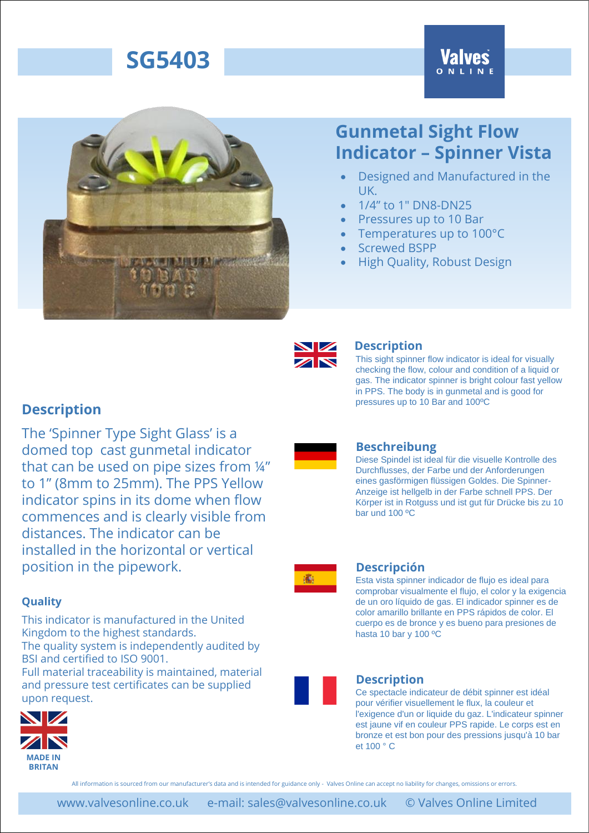# **SG5403**





## **Gunmetal Sight Flow Indicator – Spinner Vista**

- Designed and Manufactured in the UK.
- 1/4" to 1" DN8-DN25
- Pressures up to 10 Bar
- Temperatures up to 100°C
- Screwed BSPP
- High Quality, Robust Design



### **Description**

This sight spinner flow indicator is ideal for visually checking the flow, colour and condition of a liquid or gas. The indicator spinner is bright colour fast yellow in PPS. The body is in gunmetal and is good for pressures up to 10 Bar and 100ºC

Diese Spindel ist ideal für die visuelle Kontrolle des Durchflusses, der Farbe und der Anforderungen eines gasförmigen flüssigen Goldes. Die Spinner-Anzeige ist hellgelb in der Farbe schnell PPS. Der Körper ist in Rotguss und ist gut für Drücke bis zu 10

### **Description**

The 'Spinner Type Sight Glass' is a domed top cast gunmetal indicator that can be used on pipe sizes from ¼" to 1" (8mm to 25mm). The PPS Yellow indicator spins in its dome when flow commences and is clearly visible from distances. The indicator can be installed in the horizontal or vertical position in the pipework.

### **Quality**

This indicator is manufactured in the United Kingdom to the highest standards. The quality system is independently audited by BSI and certified to ISO 9001.

Full material traceability is maintained, material and pressure test certificates can be supplied upon request.





### **Descripción**

bar und 100 ºC

**Beschreibung**

Esta vista spinner indicador de flujo es ideal para comprobar visualmente el flujo, el color y la exigencia de un oro líquido de gas. El indicador spinner es de color amarillo brillante en PPS rápidos de color. El cuerpo es de bronce y es bueno para presiones de hasta 10 bar y 100 ºC



Ce spectacle indicateur de débit spinner est idéal pour vérifier visuellement le flux, la couleur et l'exigence d'un or liquide du gaz. L'indicateur spinner est jaune vif en couleur PPS rapide. Le corps est en bronze et est bon pour des pressions jusqu'à 10 bar et 100 ° C

All information is sourced from our manufacturer's data and is intended for guidance only - Valves Online can accept no liability for changes, omissions or errors.